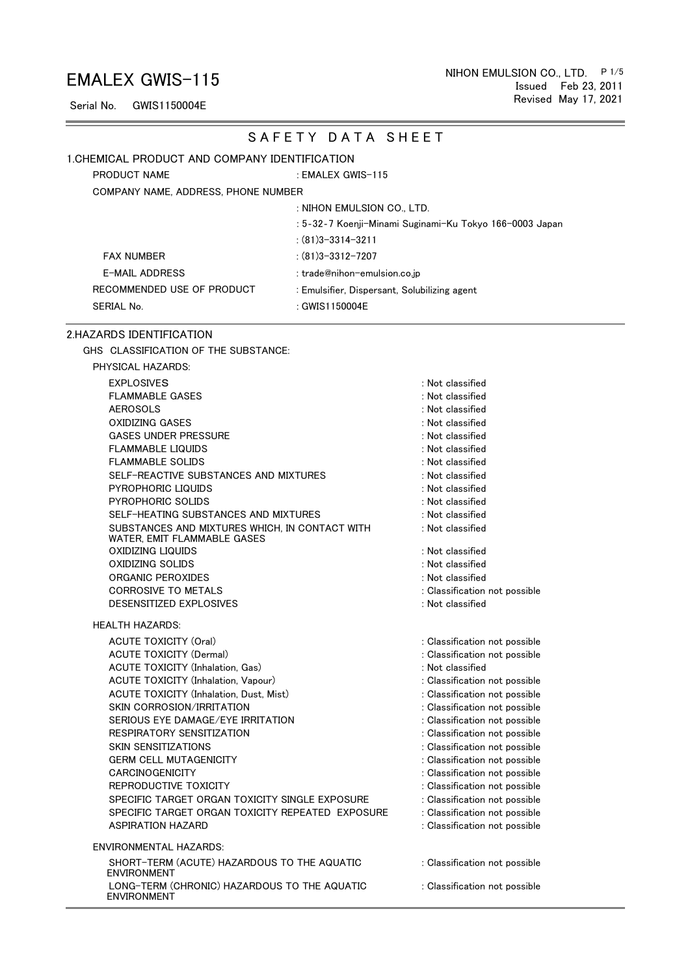Issued Feb 23, 2011 NIHON EMULSION CO., LTD. P1/5 Revised May 17, 2021

Serial No. GWIS1150004E

#### SAFETY DATA SHEET

#### 1.CHEMICAL PRODUCT AND COMPANY IDENTIFICATION

PRODUCT NAME EMALEX GWIS-115

COMPANY NAME, ADDRESS, PHONE NUMBER

: NIHON EMULSION CO., LTD.

: 5‐32‐7 Koenji-Minami Suginami-Ku Tokyo 166-0003 Japan

: (81)3-3314-3211

FAX NUMBER : (81)3-3312-7207

E-MAIL ADDRESS : trade@nihon-emulsion.co.jp RECOMMENDED USE OF PRODUCT : Emulsifier, Dispersant, Solubilizing agent SERIAL No. 2008 : GWIS1150004E

#### 2.HAZARDS IDENTIFICATION

PHYSICAL HAZARDS:

GHS CLASSIFICATION OF THE SUBSTANCE:

| <b>EXPLOSIVES</b>                              | : Not classified   |
|------------------------------------------------|--------------------|
| <b>FLAMMABLE GASES</b>                         | $:$ Not classified |
| <b>AEROSOLS</b>                                | $:$ Not classified |
| OXIDIZING GASES                                | : Not classified   |
| <b>GASES UNDER PRESSURE</b>                    | : Not classified   |
| FLAMMABLE LIQUIDS                              | : Not classified   |
| FLAMMABLE SOLIDS                               | : Not classified   |
| SELF-REACTIVE SUBSTANCES AND MIXTURES          | : Not classified   |
| PYROPHORIC LIQUIDS                             | : Not classified   |
| PYROPHORIC SOLIDS                              | : Not classified   |
| SELF-HEATING SUBSTANCES AND MIXTURES           | $:$ Not classified |
| SUBSTANCES AND MIXTURES WHICH. IN CONTACT WITH | $:$ Not classified |
| WATER, EMIT FLAMMABLE GASES                    |                    |
| OXIDIZING LIQUIDS                              | : Not classified   |
| OXIDIZING SOLIDS                               | $:$ Not classified |
| ORGANIC PEROXIDES                              | $:$ Not classified |
| <b>CORROSIVE TO METALS</b>                     | : Classification   |
| DESENSITIZED EXPLOSIVES                        | : Not classified   |
|                                                |                    |

HEALTH HAZARDS:

ACUTE TOXICITY (Oral) **Sales and Secure 2018** : Classification not possible ACUTE TOXICITY (Dermal) : Classification not possible ACUTE TOXICITY (Inhalation, Gas)  $\qquad \qquad$  : Not classified ACUTE TOXICITY (Inhalation, Vapour) **120 COVID-100 COVID-100** : Classification not possible ACUTE TOXICITY (Inhalation, Dust, Mist) **in the contract of the Contract COVICITY** (Inhalation, Dust, Mist) SKIN CORROSION/IRRITATION **SKIN CORROSION/IRRITATION :** Classification not possible SERIOUS EYE DAMAGE/EYE IRRITATION : Classification not possible RESPIRATORY SENSITIZATION **International Service Constructs** : Classification not possible SKIN SENSITIZATIONS : Classification not possible GERM CELL MUTAGENICITY **Subset of the CONSTANT CONSTRUCT CONSTRUCT** : Classification not possible CARCINOGENICITY **Subset of the CARCINOGENICITY** and the contract of the contract of the contract of the contract of the contract of the contract of the contract of the contract of the contract of the contract of the contra REPRODUCTIVE TOXICITY **Subset of the CONTRACT CONTRACT CONTRACT SETS** : Classification not possible SPECIFIC TARGET ORGAN TOXICITY SINGLE EXPOSURE : Classification not possible SPECIFIC TARGET ORGAN TOXICITY REPEATED EXPOSURE : Classification not possible ASPIRATION HAZARD **in the set of the set of the set of the set of the set of the set of the set of the set of the set of the set of the set of the set of the set of the set of the set of the set of the set of the set of th** 

ENVIRONMENTAL HAZARDS:

 SHORT-TERM (ACUTE) HAZARDOUS TO THE AQUATIC ENVIRONMENT LONG-TERM (CHRONIC) HAZARDOUS TO THE AQUATIC ENVIRONMENT

Not classified Not classified Not classified Classification not possible Not classified

: Classification not possible

: Classification not possible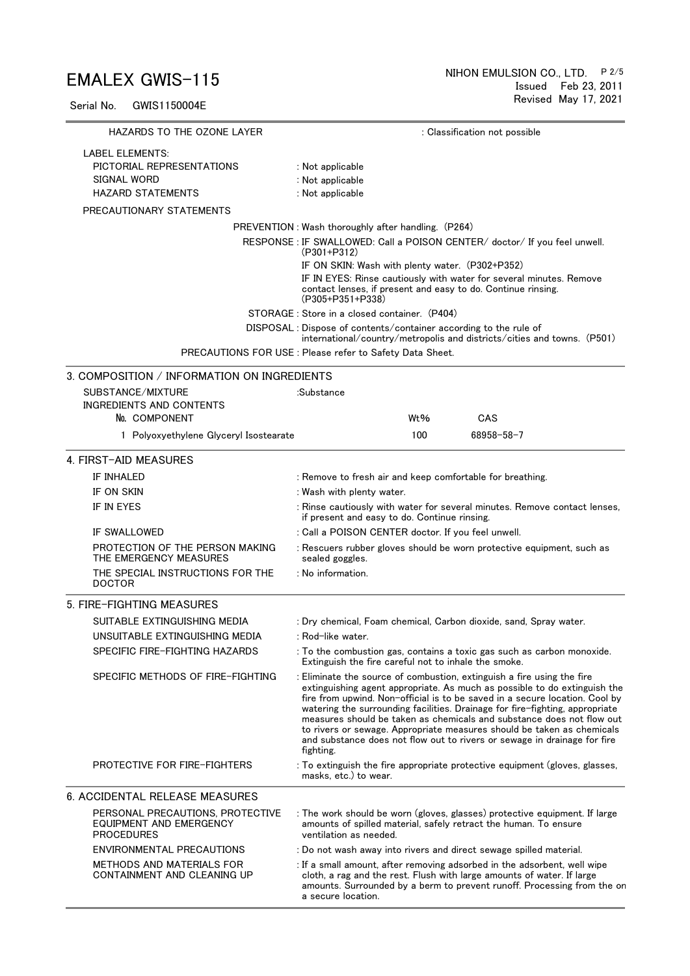Serial No. GWIS1150004E

| HAZARDS TO THE OZONE LAYER                                                                                                                                                                                                                                                                                | : Classification not possible                                                                                                                                                                                                                                                                                                                                                                                                                                                                                                                                  |  |  |  |  |  |
|-----------------------------------------------------------------------------------------------------------------------------------------------------------------------------------------------------------------------------------------------------------------------------------------------------------|----------------------------------------------------------------------------------------------------------------------------------------------------------------------------------------------------------------------------------------------------------------------------------------------------------------------------------------------------------------------------------------------------------------------------------------------------------------------------------------------------------------------------------------------------------------|--|--|--|--|--|
| <b>LABEL ELEMENTS:</b>                                                                                                                                                                                                                                                                                    |                                                                                                                                                                                                                                                                                                                                                                                                                                                                                                                                                                |  |  |  |  |  |
| PICTORIAL REPRESENTATIONS                                                                                                                                                                                                                                                                                 | : Not applicable                                                                                                                                                                                                                                                                                                                                                                                                                                                                                                                                               |  |  |  |  |  |
| SIGNAL WORD                                                                                                                                                                                                                                                                                               | : Not applicable                                                                                                                                                                                                                                                                                                                                                                                                                                                                                                                                               |  |  |  |  |  |
| <b>HAZARD STATEMENTS</b>                                                                                                                                                                                                                                                                                  | : Not applicable                                                                                                                                                                                                                                                                                                                                                                                                                                                                                                                                               |  |  |  |  |  |
| PRECAUTIONARY STATEMENTS                                                                                                                                                                                                                                                                                  |                                                                                                                                                                                                                                                                                                                                                                                                                                                                                                                                                                |  |  |  |  |  |
|                                                                                                                                                                                                                                                                                                           | PREVENTION: Wash thoroughly after handling. (P264)                                                                                                                                                                                                                                                                                                                                                                                                                                                                                                             |  |  |  |  |  |
| RESPONSE : IF SWALLOWED: Call a POISON CENTER/ doctor/ If you feel unwell.<br>$(P301+P312)$<br>IF ON SKIN: Wash with plenty water. (P302+P352)<br>IF IN EYES: Rinse cautiously with water for several minutes. Remove<br>contact lenses, if present and easy to do. Continue rinsing.<br>(P305+P351+P338) |                                                                                                                                                                                                                                                                                                                                                                                                                                                                                                                                                                |  |  |  |  |  |
|                                                                                                                                                                                                                                                                                                           |                                                                                                                                                                                                                                                                                                                                                                                                                                                                                                                                                                |  |  |  |  |  |
|                                                                                                                                                                                                                                                                                                           | DISPOSAL: Dispose of contents/container according to the rule of<br>international/country/metropolis and districts/cities and towns. (P501)<br>PRECAUTIONS FOR USE : Please refer to Safety Data Sheet.                                                                                                                                                                                                                                                                                                                                                        |  |  |  |  |  |
| 3. COMPOSITION / INFORMATION ON INGREDIENTS                                                                                                                                                                                                                                                               |                                                                                                                                                                                                                                                                                                                                                                                                                                                                                                                                                                |  |  |  |  |  |
| SUBSTANCE/MIXTURE                                                                                                                                                                                                                                                                                         | :Substance                                                                                                                                                                                                                                                                                                                                                                                                                                                                                                                                                     |  |  |  |  |  |
| <b>INGREDIENTS AND CONTENTS</b>                                                                                                                                                                                                                                                                           |                                                                                                                                                                                                                                                                                                                                                                                                                                                                                                                                                                |  |  |  |  |  |
| No. COMPONENT                                                                                                                                                                                                                                                                                             | Wt%<br>CAS                                                                                                                                                                                                                                                                                                                                                                                                                                                                                                                                                     |  |  |  |  |  |
| 1 Polyoxyethylene Glyceryl Isostearate                                                                                                                                                                                                                                                                    | 100<br>68958-58-7                                                                                                                                                                                                                                                                                                                                                                                                                                                                                                                                              |  |  |  |  |  |
| 4. FIRST-AID MEASURES                                                                                                                                                                                                                                                                                     |                                                                                                                                                                                                                                                                                                                                                                                                                                                                                                                                                                |  |  |  |  |  |
| IF INHALED                                                                                                                                                                                                                                                                                                | : Remove to fresh air and keep comfortable for breathing.                                                                                                                                                                                                                                                                                                                                                                                                                                                                                                      |  |  |  |  |  |
| IF ON SKIN                                                                                                                                                                                                                                                                                                | : Wash with plenty water.                                                                                                                                                                                                                                                                                                                                                                                                                                                                                                                                      |  |  |  |  |  |
| IF IN EYES                                                                                                                                                                                                                                                                                                | : Rinse cautiously with water for several minutes. Remove contact lenses,<br>if present and easy to do. Continue rinsing.                                                                                                                                                                                                                                                                                                                                                                                                                                      |  |  |  |  |  |
| IF SWALLOWED                                                                                                                                                                                                                                                                                              | : Call a POISON CENTER doctor. If you feel unwell.                                                                                                                                                                                                                                                                                                                                                                                                                                                                                                             |  |  |  |  |  |
| PROTECTION OF THE PERSON MAKING<br>THE EMERGENCY MEASURES                                                                                                                                                                                                                                                 | : Rescuers rubber gloves should be worn protective equipment, such as<br>sealed goggles.                                                                                                                                                                                                                                                                                                                                                                                                                                                                       |  |  |  |  |  |
| THE SPECIAL INSTRUCTIONS FOR THE<br><b>DOCTOR</b>                                                                                                                                                                                                                                                         | : No information.                                                                                                                                                                                                                                                                                                                                                                                                                                                                                                                                              |  |  |  |  |  |
| 5. FIRE-FIGHTING MEASURES                                                                                                                                                                                                                                                                                 |                                                                                                                                                                                                                                                                                                                                                                                                                                                                                                                                                                |  |  |  |  |  |
| SUITABLE EXTINGUISHING MEDIA                                                                                                                                                                                                                                                                              | : Dry chemical, Foam chemical, Carbon dioxide, sand, Spray water.                                                                                                                                                                                                                                                                                                                                                                                                                                                                                              |  |  |  |  |  |
| UNSUITABLE EXTINGUISHING MEDIA                                                                                                                                                                                                                                                                            | : Rod-like water.                                                                                                                                                                                                                                                                                                                                                                                                                                                                                                                                              |  |  |  |  |  |
| SPECIFIC FIRE-FIGHTING HAZARDS                                                                                                                                                                                                                                                                            | : To the combustion gas, contains a toxic gas such as carbon monoxide.<br>Extinguish the fire careful not to inhale the smoke.                                                                                                                                                                                                                                                                                                                                                                                                                                 |  |  |  |  |  |
| SPECIFIC METHODS OF FIRE-FIGHTING                                                                                                                                                                                                                                                                         | : Eliminate the source of combustion, extinguish a fire using the fire<br>extinguishing agent appropriate. As much as possible to do extinguish the<br>fire from upwind. Non-official is to be saved in a secure location. Cool by<br>watering the surrounding facilities. Drainage for fire-fighting, appropriate<br>measures should be taken as chemicals and substance does not flow out<br>to rivers or sewage. Appropriate measures should be taken as chemicals<br>and substance does not flow out to rivers or sewage in drainage for fire<br>fighting. |  |  |  |  |  |
| <b>PROTECTIVE FOR FIRE-FIGHTERS</b>                                                                                                                                                                                                                                                                       | : To extinguish the fire appropriate protective equipment (gloves, glasses,<br>masks, etc.) to wear.                                                                                                                                                                                                                                                                                                                                                                                                                                                           |  |  |  |  |  |
| <b>6. ACCIDENTAL RELEASE MEASURES</b>                                                                                                                                                                                                                                                                     |                                                                                                                                                                                                                                                                                                                                                                                                                                                                                                                                                                |  |  |  |  |  |
| PERSONAL PRECAUTIONS, PROTECTIVE<br>EQUIPMENT AND EMERGENCY<br><b>PROCEDURES</b>                                                                                                                                                                                                                          | : The work should be worn (gloves, glasses) protective equipment. If large<br>amounts of spilled material, safely retract the human. To ensure<br>ventilation as needed.                                                                                                                                                                                                                                                                                                                                                                                       |  |  |  |  |  |
| ENVIRONMENTAL PRECAUTIONS                                                                                                                                                                                                                                                                                 | : Do not wash away into rivers and direct sewage spilled material.                                                                                                                                                                                                                                                                                                                                                                                                                                                                                             |  |  |  |  |  |
| <b>METHODS AND MATERIALS FOR</b><br>CONTAINMENT AND CLEANING UP                                                                                                                                                                                                                                           | : If a small amount, after removing adsorbed in the adsorbent, well wipe<br>cloth, a rag and the rest. Flush with large amounts of water. If large<br>amounts. Surrounded by a berm to prevent runoff. Processing from the or<br>a secure location.                                                                                                                                                                                                                                                                                                            |  |  |  |  |  |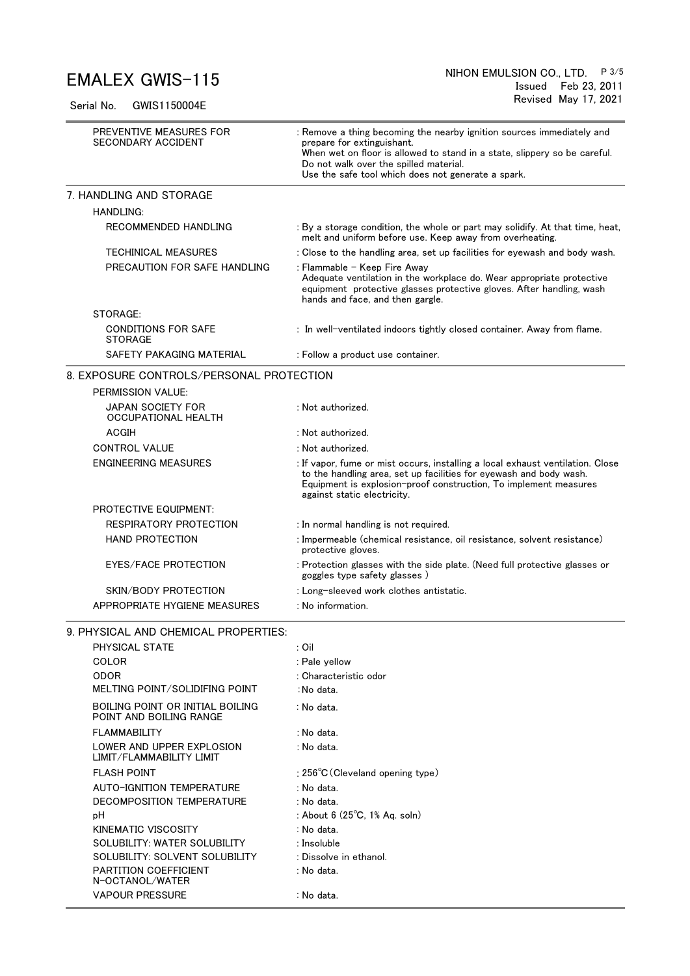Serial No. GWIS1150004E

| PREVENTIVE MEASURES FOR<br><b>SECONDARY ACCIDENT</b>        | : Remove a thing becoming the nearby ignition sources immediately and<br>prepare for extinguishant.<br>When wet on floor is allowed to stand in a state, slippery so be careful.<br>Do not walk over the spilled material.<br>Use the safe tool which does not generate a spark. |  |  |  |  |  |
|-------------------------------------------------------------|----------------------------------------------------------------------------------------------------------------------------------------------------------------------------------------------------------------------------------------------------------------------------------|--|--|--|--|--|
| 7. HANDLING AND STORAGE                                     |                                                                                                                                                                                                                                                                                  |  |  |  |  |  |
| <b>HANDLING:</b>                                            |                                                                                                                                                                                                                                                                                  |  |  |  |  |  |
| RECOMMENDED HANDLING                                        | : By a storage condition, the whole or part may solidify. At that time, heat,<br>melt and uniform before use. Keep away from overheating.                                                                                                                                        |  |  |  |  |  |
| <b>TECHINICAL MEASURES</b>                                  | : Close to the handling area, set up facilities for eyewash and body wash.                                                                                                                                                                                                       |  |  |  |  |  |
| PRECAUTION FOR SAFE HANDLING                                | : Flammable - Keep Fire Away<br>Adequate ventilation in the workplace do. Wear appropriate protective<br>equipment protective glasses protective gloves. After handling, wash<br>hands and face, and then gargle.                                                                |  |  |  |  |  |
| STORAGE:                                                    |                                                                                                                                                                                                                                                                                  |  |  |  |  |  |
| <b>CONDITIONS FOR SAFE</b><br><b>STORAGE</b>                | : In well-ventilated indoors tightly closed container. Away from flame.                                                                                                                                                                                                          |  |  |  |  |  |
| SAFETY PAKAGING MATERIAL                                    | : Follow a product use container.                                                                                                                                                                                                                                                |  |  |  |  |  |
| 8. EXPOSURE CONTROLS/PERSONAL PROTECTION                    |                                                                                                                                                                                                                                                                                  |  |  |  |  |  |
| PERMISSION VALUE:                                           |                                                                                                                                                                                                                                                                                  |  |  |  |  |  |
| <b>JAPAN SOCIETY FOR</b><br><b>OCCUPATIONAL HEALTH</b>      | : Not authorized.                                                                                                                                                                                                                                                                |  |  |  |  |  |
| ACGIH                                                       | : Not authorized.                                                                                                                                                                                                                                                                |  |  |  |  |  |
| <b>CONTROL VALUE</b>                                        | : Not authorized.                                                                                                                                                                                                                                                                |  |  |  |  |  |
| <b>ENGINEERING MEASURES</b>                                 | : If vapor, fume or mist occurs, installing a local exhaust ventilation. Close<br>to the handling area, set up facilities for eyewash and body wash.<br>Equipment is explosion-proof construction, To implement measures<br>against static electricity.                          |  |  |  |  |  |
| <b>PROTECTIVE EQUIPMENT:</b>                                |                                                                                                                                                                                                                                                                                  |  |  |  |  |  |
| RESPIRATORY PROTECTION                                      | : In normal handling is not required.                                                                                                                                                                                                                                            |  |  |  |  |  |
| <b>HAND PROTECTION</b>                                      | : Impermeable (chemical resistance, oil resistance, solvent resistance)<br>protective gloves.                                                                                                                                                                                    |  |  |  |  |  |
| <b>EYES/FACE PROTECTION</b>                                 | : Protection glasses with the side plate. (Need full protective glasses or<br>goggles type safety glasses)                                                                                                                                                                       |  |  |  |  |  |
| SKIN/BODY PROTECTION                                        | : Long-sleeved work clothes antistatic.                                                                                                                                                                                                                                          |  |  |  |  |  |
| APPROPRIATE HYGIENE MEASURES                                | : No information.                                                                                                                                                                                                                                                                |  |  |  |  |  |
| 9. PHYSICAL AND CHEMICAL PROPERTIES:                        |                                                                                                                                                                                                                                                                                  |  |  |  |  |  |
| PHYSICAL STATE                                              | : Oil                                                                                                                                                                                                                                                                            |  |  |  |  |  |
| COLOR                                                       | : Pale yellow                                                                                                                                                                                                                                                                    |  |  |  |  |  |
| <b>ODOR</b>                                                 | : Characteristic odor                                                                                                                                                                                                                                                            |  |  |  |  |  |
| MELTING POINT/SOLIDIFING POINT                              | : No data.                                                                                                                                                                                                                                                                       |  |  |  |  |  |
| BOILING POINT OR INITIAL BOILING<br>POINT AND BOILING RANGE | : No data.                                                                                                                                                                                                                                                                       |  |  |  |  |  |
| <b>FLAMMABILITY</b>                                         | : No data.                                                                                                                                                                                                                                                                       |  |  |  |  |  |
| LOWER AND UPPER EXPLOSION<br>LIMIT/FLAMMABILITY LIMIT       | : No data.                                                                                                                                                                                                                                                                       |  |  |  |  |  |
| <b>FLASH POINT</b>                                          | : $256^{\circ}$ C (Cleveland opening type)                                                                                                                                                                                                                                       |  |  |  |  |  |
| AUTO-IGNITION TEMPERATURE                                   | : No data.                                                                                                                                                                                                                                                                       |  |  |  |  |  |
| DECOMPOSITION TEMPERATURE                                   | : No data.                                                                                                                                                                                                                                                                       |  |  |  |  |  |
| рH                                                          | : About 6 $(25^{\circ}C, 1\%$ Ag. soln)                                                                                                                                                                                                                                          |  |  |  |  |  |
| KINEMATIC VISCOSITY                                         | : No data.                                                                                                                                                                                                                                                                       |  |  |  |  |  |
| SOLUBILITY: WATER SOLUBILITY                                | : Insoluble                                                                                                                                                                                                                                                                      |  |  |  |  |  |
| SOLUBILITY: SOLVENT SOLUBILITY                              | : Dissolve in ethanol.                                                                                                                                                                                                                                                           |  |  |  |  |  |
| PARTITION COEFFICIENT<br>N-OCTANOL/WATER                    | : No data.                                                                                                                                                                                                                                                                       |  |  |  |  |  |
| <b>VAPOUR PRESSURE</b>                                      | : No data.                                                                                                                                                                                                                                                                       |  |  |  |  |  |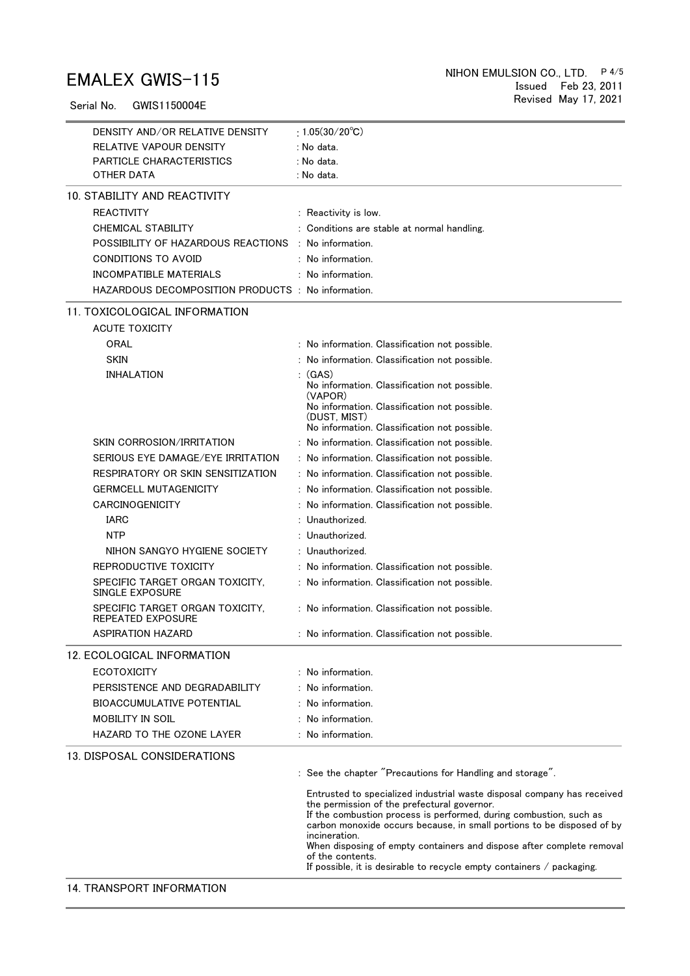Serial No. GWIS1150004E

| DENSITY AND/OR RELATIVE DENSITY                      | : $1.05(30/20^{\circ}C)$                                                                                                                                                                                                                                                                                                                                                                                                                                           |
|------------------------------------------------------|--------------------------------------------------------------------------------------------------------------------------------------------------------------------------------------------------------------------------------------------------------------------------------------------------------------------------------------------------------------------------------------------------------------------------------------------------------------------|
| RELATIVE VAPOUR DENSITY                              | : No data.                                                                                                                                                                                                                                                                                                                                                                                                                                                         |
| PARTICLE CHARACTERISTICS                             | : No data.                                                                                                                                                                                                                                                                                                                                                                                                                                                         |
| OTHER DATA                                           | : No data.                                                                                                                                                                                                                                                                                                                                                                                                                                                         |
| 10. STABILITY AND REACTIVITY                         |                                                                                                                                                                                                                                                                                                                                                                                                                                                                    |
| <b>REACTIVITY</b>                                    | : Reactivity is low.                                                                                                                                                                                                                                                                                                                                                                                                                                               |
| <b>CHEMICAL STABILITY</b>                            | : Conditions are stable at normal handling.                                                                                                                                                                                                                                                                                                                                                                                                                        |
| POSSIBILITY OF HAZARDOUS REACTIONS : No information. |                                                                                                                                                                                                                                                                                                                                                                                                                                                                    |
| CONDITIONS TO AVOID                                  | $:$ No information.                                                                                                                                                                                                                                                                                                                                                                                                                                                |
| INCOMPATIBLE MATERIALS                               | No information.                                                                                                                                                                                                                                                                                                                                                                                                                                                    |
| HAZARDOUS DECOMPOSITION PRODUCTS : No information.   |                                                                                                                                                                                                                                                                                                                                                                                                                                                                    |
| 11. TOXICOLOGICAL INFORMATION                        |                                                                                                                                                                                                                                                                                                                                                                                                                                                                    |
| <b>ACUTE TOXICITY</b>                                |                                                                                                                                                                                                                                                                                                                                                                                                                                                                    |
| <b>ORAL</b>                                          | : No information. Classification not possible.                                                                                                                                                                                                                                                                                                                                                                                                                     |
| <b>SKIN</b>                                          | : No information. Classification not possible.                                                                                                                                                                                                                                                                                                                                                                                                                     |
| <b>INHALATION</b>                                    | (GAS)                                                                                                                                                                                                                                                                                                                                                                                                                                                              |
|                                                      | No information. Classification not possible.<br>(VAPOR)                                                                                                                                                                                                                                                                                                                                                                                                            |
|                                                      | No information. Classification not possible.                                                                                                                                                                                                                                                                                                                                                                                                                       |
|                                                      | (DUST. MIST)<br>No information. Classification not possible.                                                                                                                                                                                                                                                                                                                                                                                                       |
| SKIN CORROSION/IRRITATION                            | : No information. Classification not possible.                                                                                                                                                                                                                                                                                                                                                                                                                     |
| SERIOUS EYE DAMAGE/EYE IRRITATION                    | : No information. Classification not possible.                                                                                                                                                                                                                                                                                                                                                                                                                     |
| RESPIRATORY OR SKIN SENSITIZATION                    | : No information. Classification not possible.                                                                                                                                                                                                                                                                                                                                                                                                                     |
| <b>GERMCELL MUTAGENICITY</b>                         | : No information. Classification not possible.                                                                                                                                                                                                                                                                                                                                                                                                                     |
| CARCINOGENICITY                                      | No information. Classification not possible.                                                                                                                                                                                                                                                                                                                                                                                                                       |
| <b>IARC</b>                                          | : Unauthorized.                                                                                                                                                                                                                                                                                                                                                                                                                                                    |
| <b>NTP</b>                                           | : Unauthorized.                                                                                                                                                                                                                                                                                                                                                                                                                                                    |
| NIHON SANGYO HYGIENE SOCIETY                         | : Unauthorized.                                                                                                                                                                                                                                                                                                                                                                                                                                                    |
| REPRODUCTIVE TOXICITY                                | : No information. Classification not possible.                                                                                                                                                                                                                                                                                                                                                                                                                     |
| SPECIFIC TARGET ORGAN TOXICITY,<br>SINGLE EXPOSURE   | : No information. Classification not possible.                                                                                                                                                                                                                                                                                                                                                                                                                     |
| SPECIFIC TARGET ORGAN TOXICITY,<br>REPEATED EXPOSURE | : No information. Classification not possible.                                                                                                                                                                                                                                                                                                                                                                                                                     |
| ASPIRATION HAZARD                                    | : No information. Classification not possible                                                                                                                                                                                                                                                                                                                                                                                                                      |
| 12. ECOLOGICAL INFORMATION                           |                                                                                                                                                                                                                                                                                                                                                                                                                                                                    |
| <b>ECOTOXICITY</b>                                   | : No information.                                                                                                                                                                                                                                                                                                                                                                                                                                                  |
| PERSISTENCE AND DEGRADABILITY                        | : No information.                                                                                                                                                                                                                                                                                                                                                                                                                                                  |
| <b>BIOACCUMULATIVE POTENTIAL</b>                     | : No information.                                                                                                                                                                                                                                                                                                                                                                                                                                                  |
| MOBILITY IN SOIL                                     | : No information.                                                                                                                                                                                                                                                                                                                                                                                                                                                  |
| HAZARD TO THE OZONE LAYER                            | : No information.                                                                                                                                                                                                                                                                                                                                                                                                                                                  |
| 13. DISPOSAL CONSIDERATIONS                          |                                                                                                                                                                                                                                                                                                                                                                                                                                                                    |
|                                                      |                                                                                                                                                                                                                                                                                                                                                                                                                                                                    |
|                                                      | : See the chapter "Precautions for Handling and storage".                                                                                                                                                                                                                                                                                                                                                                                                          |
|                                                      | Entrusted to specialized industrial waste disposal company has received<br>the permission of the prefectural governor.<br>If the combustion process is performed, during combustion, such as<br>carbon monoxide occurs because, in small portions to be disposed of by<br>incineration.<br>When disposing of empty containers and dispose after complete removal<br>of the contents.<br>If possible, it is desirable to recycle empty containers $\ell$ packaging. |
|                                                      |                                                                                                                                                                                                                                                                                                                                                                                                                                                                    |
| 14. TRANSPORT INFORMATION                            |                                                                                                                                                                                                                                                                                                                                                                                                                                                                    |